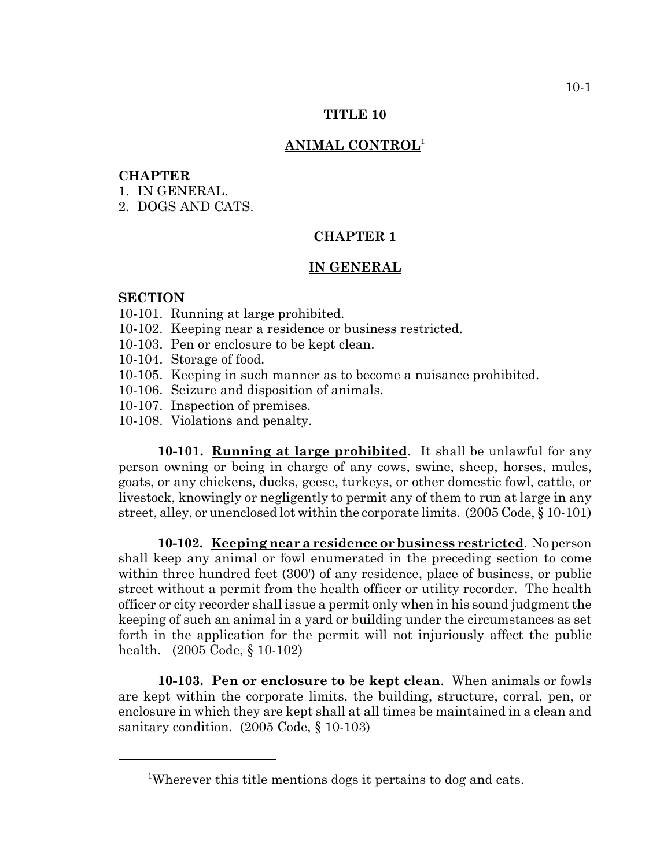### **TITLE 10**

### **ANIMAL CONTROL**<sup>1</sup>

### **CHAPTER**

- 1. IN GENERAL.
- 2. DOGS AND CATS.

# **CHAPTER 1**

## **IN GENERAL**

### **SECTION**

- 10-101. Running at large prohibited.
- 10-102. Keeping near a residence or business restricted.
- 10-103. Pen or enclosure to be kept clean.
- 10-104. Storage of food.
- 10-105. Keeping in such manner as to become a nuisance prohibited.
- 10-106. Seizure and disposition of animals.
- 10-107. Inspection of premises.
- 10-108. Violations and penalty.

**10-101. Running at large prohibited**. It shall be unlawful for any person owning or being in charge of any cows, swine, sheep, horses, mules, goats, or any chickens, ducks, geese, turkeys, or other domestic fowl, cattle, or livestock, knowingly or negligently to permit any of them to run at large in any street, alley, or unenclosed lot within the corporate limits. (2005 Code, § 10-101)

**10-102. Keeping near a residence or business restricted**. No person shall keep any animal or fowl enumerated in the preceding section to come within three hundred feet (300') of any residence, place of business, or public street without a permit from the health officer or utility recorder. The health officer or city recorder shall issue a permit only when in his sound judgment the keeping of such an animal in a yard or building under the circumstances as set forth in the application for the permit will not injuriously affect the public health. (2005 Code, § 10-102)

**10-103. Pen or enclosure to be kept clean**. When animals or fowls are kept within the corporate limits, the building, structure, corral, pen, or enclosure in which they are kept shall at all times be maintained in a clean and sanitary condition. (2005 Code, § 10-103)

<sup>&</sup>lt;sup>1</sup>Wherever this title mentions dogs it pertains to dog and cats.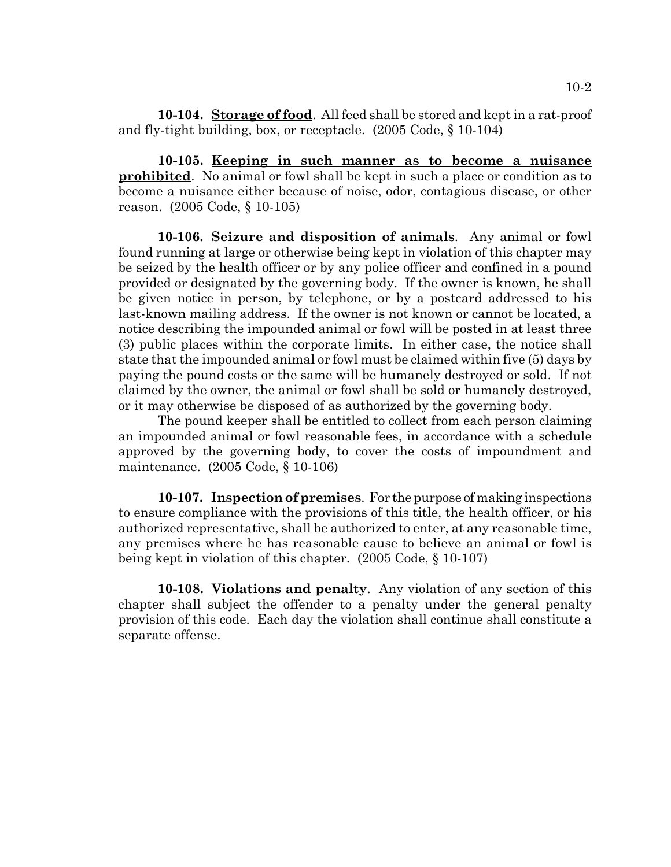**10-104. Storage of food**. All feed shall be stored and kept in a rat-proof and fly-tight building, box, or receptacle. (2005 Code, § 10-104)

**10-105. Keeping in such manner as to become a nuisance prohibited**. No animal or fowl shall be kept in such a place or condition as to become a nuisance either because of noise, odor, contagious disease, or other reason. (2005 Code, § 10-105)

**10-106. Seizure and disposition of animals**. Any animal or fowl found running at large or otherwise being kept in violation of this chapter may be seized by the health officer or by any police officer and confined in a pound provided or designated by the governing body. If the owner is known, he shall be given notice in person, by telephone, or by a postcard addressed to his last-known mailing address. If the owner is not known or cannot be located, a notice describing the impounded animal or fowl will be posted in at least three (3) public places within the corporate limits. In either case, the notice shall state that the impounded animal or fowl must be claimed within five (5) days by paying the pound costs or the same will be humanely destroyed or sold. If not claimed by the owner, the animal or fowl shall be sold or humanely destroyed, or it may otherwise be disposed of as authorized by the governing body.

The pound keeper shall be entitled to collect from each person claiming an impounded animal or fowl reasonable fees, in accordance with a schedule approved by the governing body, to cover the costs of impoundment and maintenance. (2005 Code, § 10-106)

**10-107. Inspection of premises**. For the purpose of making inspections to ensure compliance with the provisions of this title, the health officer, or his authorized representative, shall be authorized to enter, at any reasonable time, any premises where he has reasonable cause to believe an animal or fowl is being kept in violation of this chapter. (2005 Code, § 10-107)

**10-108. Violations and penalty**. Any violation of any section of this chapter shall subject the offender to a penalty under the general penalty provision of this code. Each day the violation shall continue shall constitute a separate offense.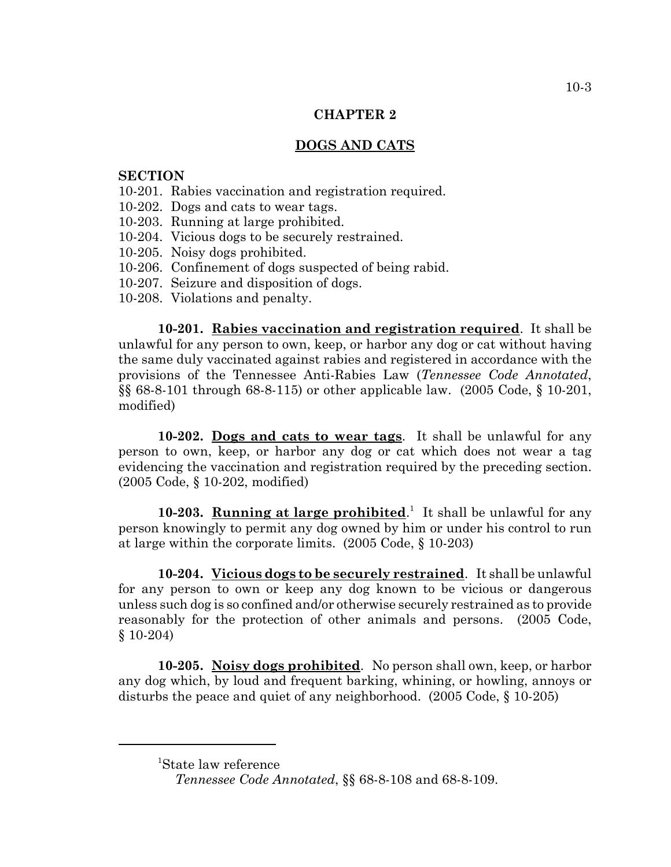## **CHAPTER 2**

# **DOGS AND CATS**

### **SECTION**

- 10-201. Rabies vaccination and registration required.
- 10-202. Dogs and cats to wear tags.
- 10-203. Running at large prohibited.
- 10-204. Vicious dogs to be securely restrained.
- 10-205. Noisy dogs prohibited.
- 10-206. Confinement of dogs suspected of being rabid.
- 10-207. Seizure and disposition of dogs.
- 10-208. Violations and penalty.

**10-201. Rabies vaccination and registration required**. It shall be unlawful for any person to own, keep, or harbor any dog or cat without having the same duly vaccinated against rabies and registered in accordance with the provisions of the Tennessee Anti-Rabies Law (*Tennessee Code Annotated*, §§ 68-8-101 through 68-8-115) or other applicable law. (2005 Code, § 10-201, modified)

**10-202. Dogs and cats to wear tags**. It shall be unlawful for any person to own, keep, or harbor any dog or cat which does not wear a tag evidencing the vaccination and registration required by the preceding section. (2005 Code, § 10-202, modified)

10-203. **Running at large prohibited**.<sup>1</sup> It shall be unlawful for any person knowingly to permit any dog owned by him or under his control to run at large within the corporate limits. (2005 Code, § 10-203)

**10-204. Vicious dogs to be securely restrained**. It shall be unlawful for any person to own or keep any dog known to be vicious or dangerous unless such dog is so confined and/or otherwise securely restrained as to provide reasonably for the protection of other animals and persons. (2005 Code, § 10-204)

**10-205. Noisy dogs prohibited**. No person shall own, keep, or harbor any dog which, by loud and frequent barking, whining, or howling, annoys or disturbs the peace and quiet of any neighborhood. (2005 Code, § 10-205)

<sup>1</sup> State law reference

*Tennessee Code Annotated*, §§ 68-8-108 and 68-8-109.